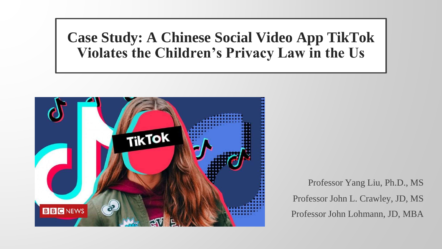## **Case Study: A Chinese Social Video App TikTok Violates the Children's Privacy Law in the Us**



Professor Yang Liu, Ph.D., MS Professor John L. Crawley, JD, MS Professor John Lohmann, JD, MBA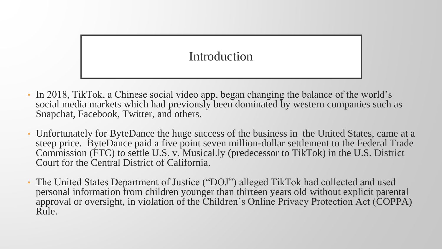## Introduction

- In 2018, TikTok, a Chinese social video app, began changing the balance of the world's social media markets which had previously been dominated by western companies such as Snapchat, Facebook, Twitter, and others.
- Unfortunately for ByteDance the huge success of the business in the United States, came at a steep price. ByteDance paid a five point seven million-dollar settlement to the Federal Trade Commission (FTC) to settle U.S. v. Musical.ly (predecessor to TikTok) in the U.S. District Court for the Central District of California.
- The United States Department of Justice ("DOJ") alleged TikTok had collected and used personal information from children younger than thirteen years old without explicit parental approval or oversight, in violation of the Children's Online Privacy Protection Act (COPPA) Rule.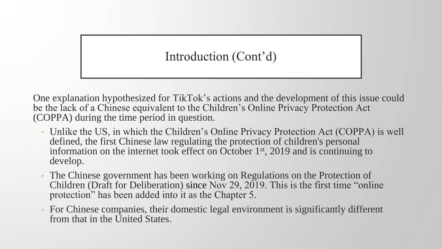## Introduction (Cont'd)

One explanation hypothesized for TikTok's actions and the development of this issue could be the lack of a Chinese equivalent to the Children's Online Privacy Protection Act (COPPA) during the time period in question.

- Unlike the US, in which the Children's Online Privacy Protection Act (COPPA) is well defined, the first Chinese law regulating the protection of children's personal information on the internet took effect on October 1st, 2019 and is continuing to develop.
- The Chinese government has been working on Regulations on the Protection of Children (Draft for Deliberation) since Nov 29, 2019. This is the first time "online protection" has been added into it as the Chapter 5.
- For Chinese companies, their domestic legal environment is significantly different from that in the United States.